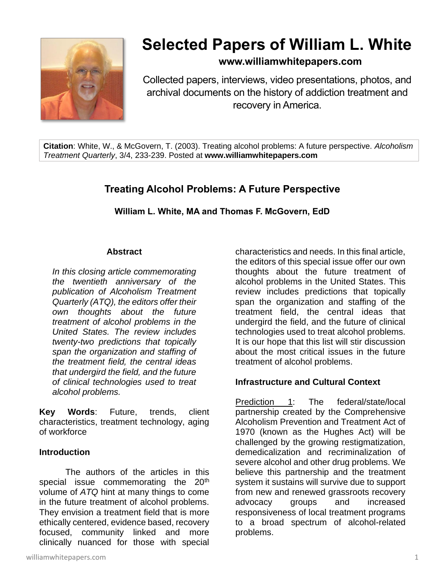

# **Selected Papers of William L. White**

## **www.williamwhitepapers.com**

Collected papers, interviews, video presentations, photos, and archival documents on the history of addiction treatment and recovery in America.

**Citation**: White, W., & McGovern, T. (2003). Treating alcohol problems: A future perspective. *Alcoholism Treatment Quarterly*, 3/4, 233-239. Posted at **www.williamwhitepapers.com**

# **Treating Alcohol Problems: A Future Perspective**

**William L. White, MA and Thomas F. McGovern, EdD**

#### **Abstract**

*In this closing article commemorating the twentieth anniversary of the publication of Alcoholism Treatment Quarterly (ATQ), the editors offer their own thoughts about the future treatment of alcohol problems in the United States. The review includes twenty-two predictions that topically span the organization and staffing of the treatment field, the central ideas that undergird the field, and the future of clinical technologies used to treat alcohol problems.*

**Key Words**: Future, trends, client characteristics, treatment technology, aging of workforce

#### **Introduction**

The authors of the articles in this special issue commemorating the 20<sup>th</sup> volume of *ATQ* hint at many things to come in the future treatment of alcohol problems. They envision a treatment field that is more ethically centered, evidence based, recovery focused, community linked and more clinically nuanced for those with special

characteristics and needs. In this final article, the editors of this special issue offer our own thoughts about the future treatment of alcohol problems in the United States. This review includes predictions that topically span the organization and staffing of the treatment field, the central ideas that undergird the field, and the future of clinical technologies used to treat alcohol problems. It is our hope that this list will stir discussion about the most critical issues in the future treatment of alcohol problems.

### **Infrastructure and Cultural Context**

Prediction 1: The federal/state/local partnership created by the Comprehensive Alcoholism Prevention and Treatment Act of 1970 (known as the Hughes Act) will be challenged by the growing restigmatization, demedicalization and recriminalization of severe alcohol and other drug problems. We believe this partnership and the treatment system it sustains will survive due to support from new and renewed grassroots recovery advocacy groups and increased responsiveness of local treatment programs to a broad spectrum of alcohol-related problems.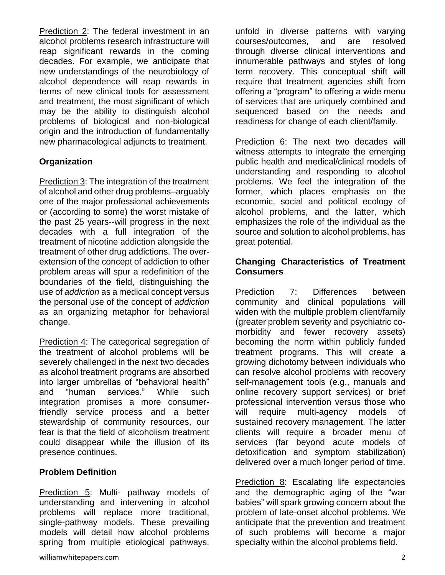Prediction 2: The federal investment in an alcohol problems research infrastructure will reap significant rewards in the coming decades. For example, we anticipate that new understandings of the neurobiology of alcohol dependence will reap rewards in terms of new clinical tools for assessment and treatment, the most significant of which may be the ability to distinguish alcohol problems of biological and non-biological origin and the introduction of fundamentally new pharmacological adjuncts to treatment.

#### **Organization**

Prediction 3: The integration of the treatment of alcohol and other drug problems–arguably one of the major professional achievements or (according to some) the worst mistake of the past 25 years--will progress in the next decades with a full integration of the treatment of nicotine addiction alongside the treatment of other drug addictions. The overextension of the concept of addiction to other problem areas will spur a redefinition of the boundaries of the field, distinguishing the use of *addiction* as a medical concept versus the personal use of the concept of *addiction*  as an organizing metaphor for behavioral change.

Prediction 4: The categorical segregation of the treatment of alcohol problems will be severely challenged in the next two decades as alcohol treatment programs are absorbed into larger umbrellas of "behavioral health" and "human services." While such integration promises a more consumerfriendly service process and a better stewardship of community resources, our fear is that the field of alcoholism treatment could disappear while the illusion of its presence continues.

#### **Problem Definition**

Prediction 5: Multi- pathway models of understanding and intervening in alcohol problems will replace more traditional, single-pathway models. These prevailing models will detail how alcohol problems spring from multiple etiological pathways,

unfold in diverse patterns with varying courses/outcomes, and are resolved through diverse clinical interventions and innumerable pathways and styles of long term recovery. This conceptual shift will require that treatment agencies shift from offering a "program" to offering a wide menu of services that are uniquely combined and sequenced based on the needs and readiness for change of each client/family.

Prediction 6: The next two decades will witness attempts to integrate the emerging public health and medical/clinical models of understanding and responding to alcohol problems. We feel the integration of the former, which places emphasis on the economic, social and political ecology of alcohol problems, and the latter, which emphasizes the role of the individual as the source and solution to alcohol problems, has great potential.

#### **Changing Characteristics of Treatment Consumers**

Prediction 7: Differences between community and clinical populations will widen with the multiple problem client/family (greater problem severity and psychiatric comorbidity and fewer recovery assets) becoming the norm within publicly funded treatment programs. This will create a growing dichotomy between individuals who can resolve alcohol problems with recovery self-management tools (e.g., manuals and online recovery support services) or brief professional intervention versus those who will require multi-agency models of sustained recovery management. The latter clients will require a broader menu of services (far beyond acute models of detoxification and symptom stabilization) delivered over a much longer period of time.

**Prediction 8: Escalating life expectancies** and the demographic aging of the "war babies" will spark growing concern about the problem of late-onset alcohol problems. We anticipate that the prevention and treatment of such problems will become a major specialty within the alcohol problems field.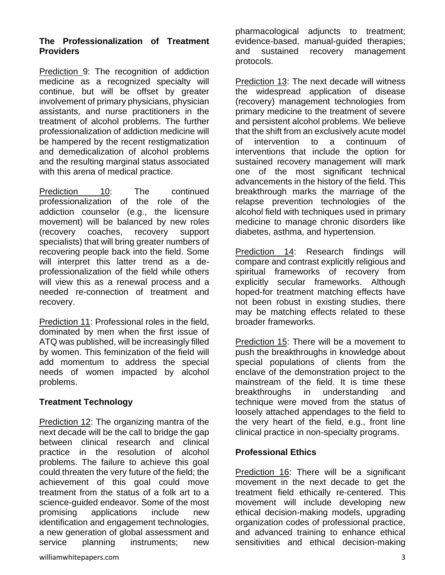#### **The Professionalization of Treatment Providers**

Prediction 9: The recognition of addiction medicine as a recognized specialty will continue, but will be offset by greater involvement of primary physicians, physician assistants, and nurse practitioners in the treatment of alcohol problems. The further professionalization of addiction medicine will be hampered by the recent restigmatization and demedicalization of alcohol problems and the resulting marginal status associated with this arena of medical practice.

Prediction 10: The continued professionalization of the role of the addiction counselor (e.g., the licensure movement) will be balanced by new roles (recovery coaches, recovery support specialists) that will bring greater numbers of recovering people back into the field. Some will interpret this latter trend as a deprofessionalization of the field while others will view this as a renewal process and a needed re-connection of treatment and recovery.

Prediction 11: Professional roles in the field, dominated by men when the first issue of ATQ was published, will be increasingly filled by women. This feminization of the field will add momentum to address the special needs of women impacted by alcohol problems.

#### **Treatment Technology**

Prediction 12: The organizing mantra of the next decade will be the call to bridge the gap between clinical research and clinical practice in the resolution of alcohol problems. The failure to achieve this goal could threaten the very future of the field; the achievement of this goal could move treatment from the status of a folk art to a science-guided endeavor. Some of the most promising applications include new identification and engagement technologies, a new generation of global assessment and service planning instruments; new

pharmacological adjuncts to treatment; evidence-based, manual-guided therapies; and sustained recovery management protocols.

Prediction 13: The next decade will witness the widespread application of disease (recovery) management technologies from primary medicine to the treatment of severe and persistent alcohol problems. We believe that the shift from an exclusively acute model of intervention to a continuum of interventions that include the option for sustained recovery management will mark one of the most significant technical advancements in the history of the field. This breakthrough marks the marriage of the relapse prevention technologies of the alcohol field with techniques used in primary medicine to manage chronic disorders like diabetes, asthma, and hypertension.

Prediction 14: Research findings will compare and contrast explicitly religious and spiritual frameworks of recovery from explicitly secular frameworks. Although hoped-for treatment matching effects have not been robust in existing studies, there may be matching effects related to these broader frameworks.

Prediction 15: There will be a movement to push the breakthroughs in knowledge about special populations of clients from the enclave of the demonstration project to the mainstream of the field. It is time these breakthroughs in understanding and technique were moved from the status of loosely attached appendages to the field to the very heart of the field, e.g., front line clinical practice in non-specialty programs.

### **Professional Ethics**

Prediction 16: There will be a significant movement in the next decade to get the treatment field ethically re-centered. This movement will include developing new ethical decision-making models, upgrading organization codes of professional practice, and advanced training to enhance ethical sensitivities and ethical decision-making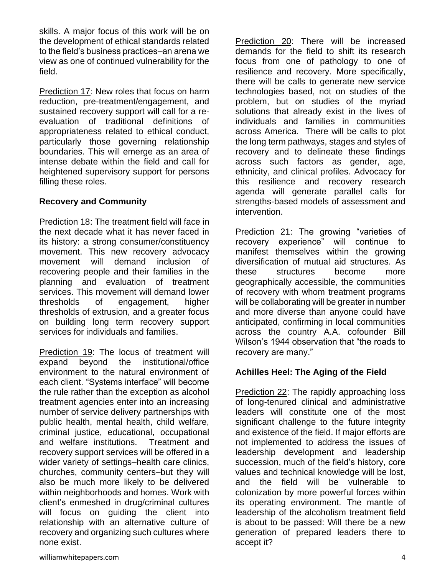skills. A major focus of this work will be on the development of ethical standards related to the field's business practices–an arena we view as one of continued vulnerability for the field.

Prediction 17: New roles that focus on harm reduction, pre-treatment/engagement, and sustained recovery support will call for a reevaluation of traditional definitions of appropriateness related to ethical conduct, particularly those governing relationship boundaries. This will emerge as an area of intense debate within the field and call for heightened supervisory support for persons filling these roles.

#### **Recovery and Community**

Prediction 18: The treatment field will face in the next decade what it has never faced in its history: a strong consumer/constituency movement. This new recovery advocacy movement will demand inclusion of recovering people and their families in the planning and evaluation of treatment services. This movement will demand lower thresholds of engagement, higher thresholds of extrusion, and a greater focus on building long term recovery support services for individuals and families.

Prediction 19: The locus of treatment will expand beyond the institutional/office environment to the natural environment of each client. "Systems interface" will become the rule rather than the exception as alcohol treatment agencies enter into an increasing number of service delivery partnerships with public health, mental health, child welfare, criminal justice, educational, occupational and welfare institutions. Treatment and recovery support services will be offered in a wider variety of settings–health care clinics, churches, community centers–but they will also be much more likely to be delivered within neighborhoods and homes. Work with client's enmeshed in drug/criminal cultures will focus on quiding the client into relationship with an alternative culture of recovery and organizing such cultures where none exist.

Prediction 20: There will be increased demands for the field to shift its research focus from one of pathology to one of resilience and recovery. More specifically, there will be calls to generate new service technologies based, not on studies of the problem, but on studies of the myriad solutions that already exist in the lives of individuals and families in communities across America. There will be calls to plot the long term pathways, stages and styles of recovery and to delineate these findings across such factors as gender, age, ethnicity, and clinical profiles. Advocacy for this resilience and recovery research agenda will generate parallel calls for strengths-based models of assessment and intervention.

Prediction 21: The growing "varieties of recovery experience" will continue to manifest themselves within the growing diversification of mutual aid structures. As these structures become more geographically accessible, the communities of recovery with whom treatment programs will be collaborating will be greater in number and more diverse than anyone could have anticipated, confirming in local communities across the country A.A. cofounder Bill Wilson's 1944 observation that "the roads to recovery are many."

#### **Achilles Heel: The Aging of the Field**

Prediction 22: The rapidly approaching loss of long-tenured clinical and administrative leaders will constitute one of the most significant challenge to the future integrity and existence of the field. If major efforts are not implemented to address the issues of leadership development and leadership succession, much of the field's history, core values and technical knowledge will be lost, and the field will be vulnerable to colonization by more powerful forces within its operating environment. The mantle of leadership of the alcoholism treatment field is about to be passed: Will there be a new generation of prepared leaders there to accept it?